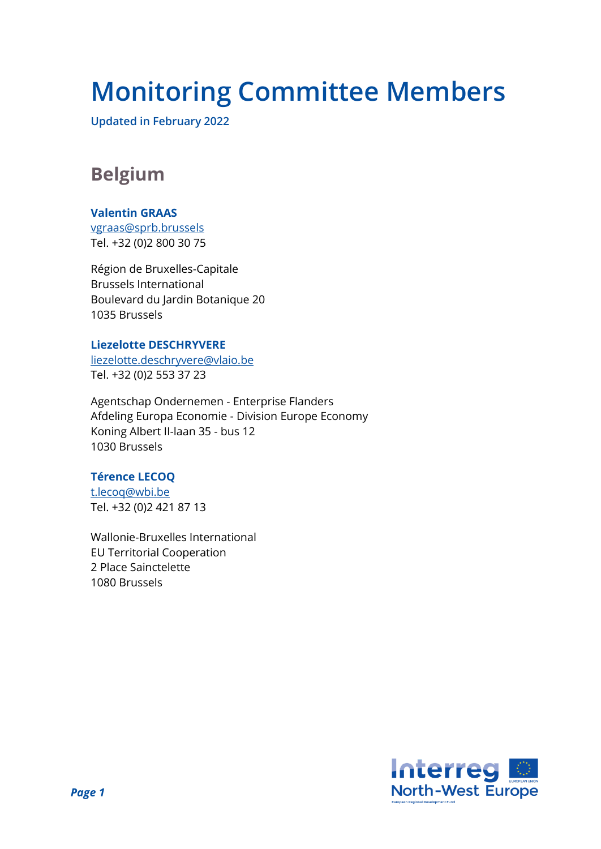# **Monitoring Committee Members**

**Updated in February 2022**

# **Belgium**

#### **Valentin GRAAS**

[vgraas@sprb.brussels](mailto:vgraas@sprb.brussels) Tel. +32 (0)2 800 30 75

Région de Bruxelles-Capitale Brussels International Boulevard du Jardin Botanique 20 1035 Brussels

#### **Liezelotte DESCHRYVERE**

[liezelotte.deschryvere@vlaio.be](mailto:liezelotte.deschryvere@vlaio.be) Tel. +32 (0)2 553 37 23

Agentschap Ondernemen - Enterprise Flanders Afdeling Europa Economie - Division Europe Economy Koning Albert II-laan 35 - bus 12 1030 Brussels

#### **Térence LECOQ**

[t.lecoq@wbi.be](mailto:t.lecoq@wbi.be) Tel. +32 (0)2 421 87 13

Wallonie-Bruxelles International EU Territorial Cooperation 2 Place Sainctelette 1080 Brussels

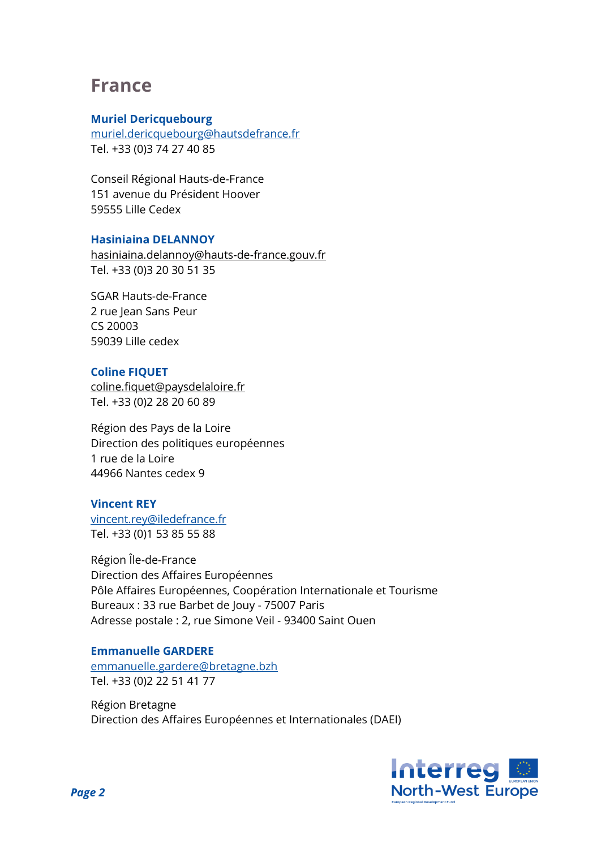### **France**

#### **Muriel Dericquebourg**

[muriel.dericquebourg@hautsdefrance.fr](mailto:muriel.dericquebourg@hautsdefrance.fr) Tel. +33 (0)3 74 27 40 85

Conseil Régional Hauts-de-France 151 avenue du Président Hoover 59555 Lille Cedex

#### **Hasiniaina DELANNOY**

[hasiniaina.delannoy@hauts-de-france.gouv.fr](mailto:hasiniaina.delannoy@hauts-de-france.gouv.fr) Tel. +33 (0)3 20 30 51 35

SGAR Hauts-de-France 2 rue Jean Sans Peur CS 20003 59039 Lille cedex

#### **Coline FIQUET**

[coline.fiquet@paysdelaloire.fr](mailto:coline.fiquet@paysdelaloire.fr) Tel. +33 (0)2 28 20 60 89

Région des Pays de la Loire Direction des politiques européennes 1 rue de la Loire 44966 Nantes cedex 9

#### **Vincent REY**

[vincent.rey@iledefrance.fr](mailto:vincent.rey@iledefrance.fr) Tel. +33 (0)1 53 85 55 88

Région Île-de-France Direction des Affaires Européennes Pôle Affaires Européennes, Coopération Internationale et Tourisme Bureaux : 33 rue Barbet de Jouy - 75007 Paris Adresse postale : 2, rue Simone Veil - 93400 Saint Ouen

#### **Emmanuelle GARDERE**

[emmanuelle.gardere@bretagne.bzh](mailto:emmanuelle.gardere@bretagne.bzh) Tel. +33 (0)2 22 51 41 77

Région Bretagne Direction des Affaires Européennes et Internationales (DAEI)

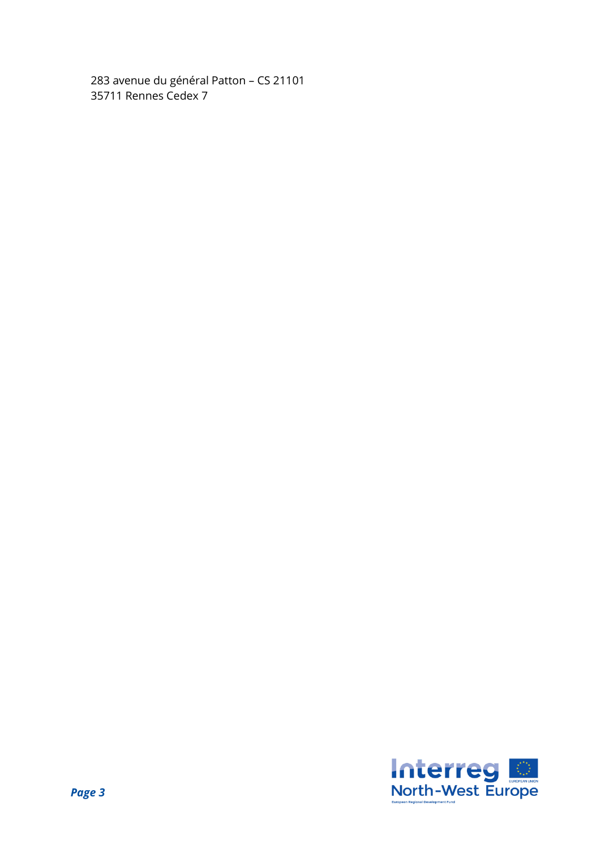283 avenue du général Patton – CS 21101 35711 Rennes Cedex 7

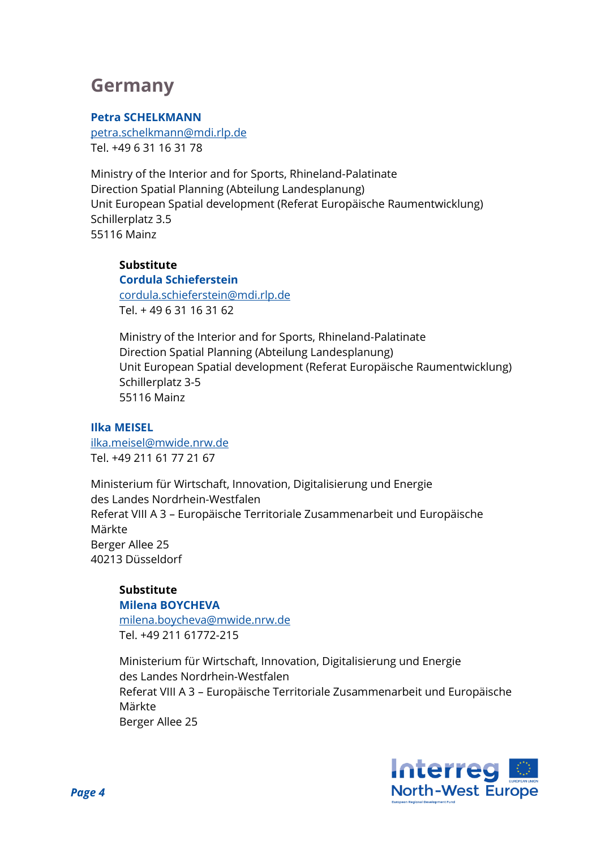### **Germany**

#### **Petra SCHELKMANN**

[petra.schelkmann@mdi.rlp.de](mailto:petra.schelkmann@mdi.rlp.de) Tel. +49 6 31 16 31 78

Ministry of the Interior and for Sports, Rhineland-Palatinate Direction Spatial Planning (Abteilung Landesplanung) Unit European Spatial development (Referat Europäische Raumentwicklung) Schillerplatz 3.5 55116 Mainz

### **Substitute**

**Cordula Schieferstein** [cordula.schieferstein@mdi.rlp.de](mailto:cordula.schieferstein@mdi.rlp.de) Tel. + 49 6 31 16 31 62

Ministry of the Interior and for Sports, Rhineland-Palatinate Direction Spatial Planning (Abteilung Landesplanung) Unit European Spatial development (Referat Europäische Raumentwicklung) Schillerplatz 3-5 55116 Mainz

#### **Ilka MEISEL**

ilka.meisel@mwide.nrw.de Tel. +49 211 61 77 21 67

Ministerium für Wirtschaft, Innovation, Digitalisierung und Energie des Landes Nordrhein-Westfalen Referat VIII A 3 – Europäische Territoriale Zusammenarbeit und Europäische Märkte Berger Allee 25 40213 Düsseldorf

#### **Substitute Milena BOYCHEVA**

milena.boycheva@mwide.nrw.de Tel. +49 211 61772-215

Ministerium für Wirtschaft, Innovation, Digitalisierung und Energie des Landes Nordrhein-Westfalen Referat VIII A 3 – Europäische Territoriale Zusammenarbeit und Europäische Märkte Berger Allee 25

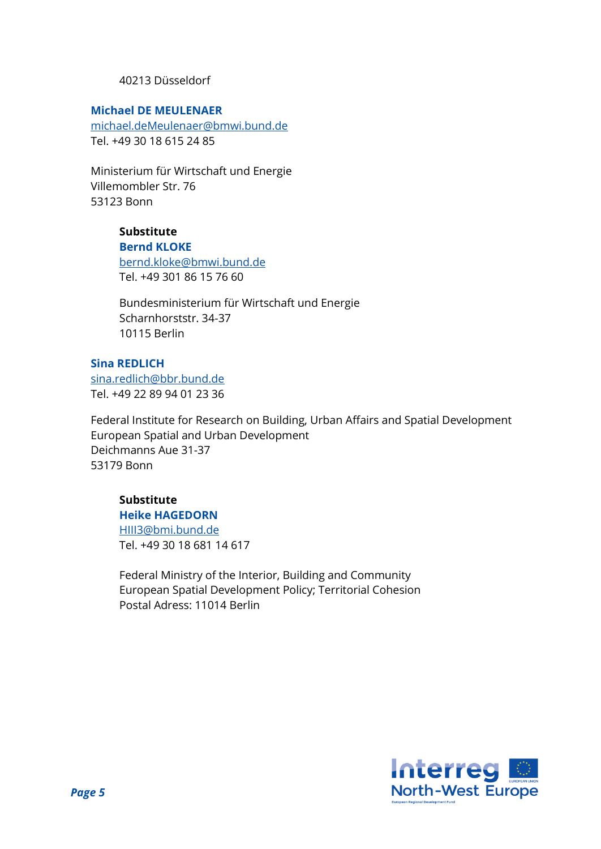#### 40213 Düsseldorf

#### **Michael DE MEULENAER**

[michael.deMeulenaer@bmwi.bund.de](mailto:michael.deMeulenaer@bmwi.bund.de) Tel. +49 30 18 615 24 85

Ministerium für Wirtschaft und Energie Villemombler Str. 76 53123 Bonn

### **Substitute**

**Bernd KLOKE**

[bernd.kloke@bmwi.bund.de](mailto:bernd.kloke@bmwi.bund.de) Tel. +49 301 86 15 76 60

Bundesministerium für Wirtschaft und Energie Scharnhorststr. 34-37 10115 Berlin

#### **Sina REDLICH**

[sina.redlich@bbr.bund.de](mailto:sina.redlich@bbr.bund.de) Tel. +49 22 89 94 01 23 36

Federal Institute for Research on Building, Urban Affairs and Spatial Development European Spatial and Urban Development Deichmanns Aue 31-37 53179 Bonn

#### **Substitute**

**Heike HAGEDORN**

[HIII3@bmi.bund.de](mailto:HIII3@bmi.bund.de) Tel. +49 30 18 681 14 617

Federal Ministry of the Interior, Building and Community European Spatial Development Policy; Territorial Cohesion Postal Adress: 11014 Berlin

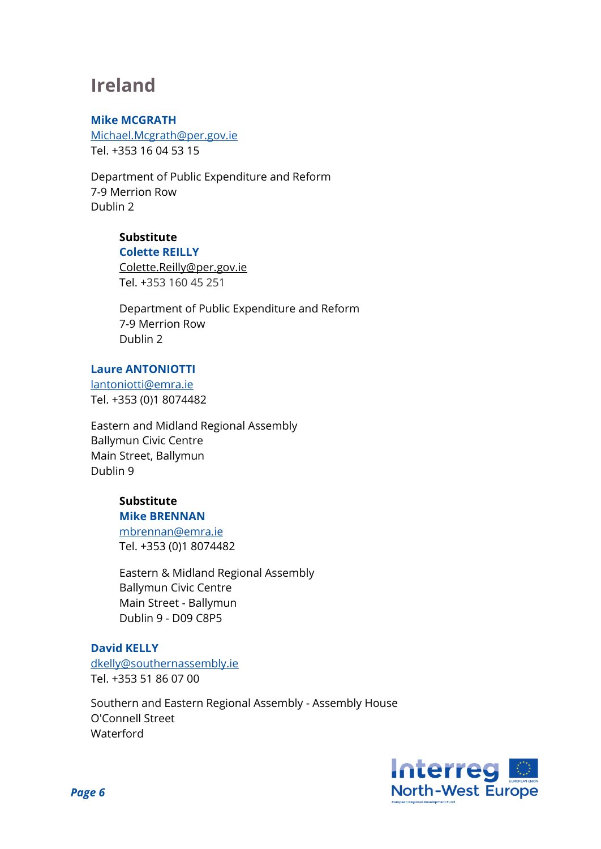### **Ireland**

#### **Mike MCGRATH**

Michael.Mcgrath@per.gov.ie Tel. +353 16 04 53 15

Department of Public Expenditure and Reform 7-9 Merrion Row Dublin 2

### **Substitute**

#### **Colette REILLY**

[Colette.Reilly@per.gov.ie](mailto:Colette.Reilly@per.gov.ie) Tel. +353 160 45 251

Department of Public Expenditure and Reform 7-9 Merrion Row Dublin 2

#### **Laure ANTONIOTTI**

[lantoniotti@emra.ie](mailto:lantoniotti@emra.ie) Tel. +353 (0)1 8074482

Eastern and Midland Regional Assembly Ballymun Civic Centre Main Street, Ballymun Dublin 9

#### **Substitute Mike BRENNAN**

[mbrennan@emra.ie](mailto:mbrennan@emra.ie) [Tel. +353 \(0\)1](tel:%2B353%20%280%291%C2%A08074482) 8074482

Eastern & Midland Regional Assembly Ballymun Civic Centre Main Street - Ballymun Dublin 9 - D09 C8P5

#### **David KELLY**

[dkelly@southernassembly.ie](mailto:dkelly@southernassembly.ie) Tel. +353 51 86 07 00

Southern and Eastern Regional Assembly - Assembly House O'Connell Street Waterford

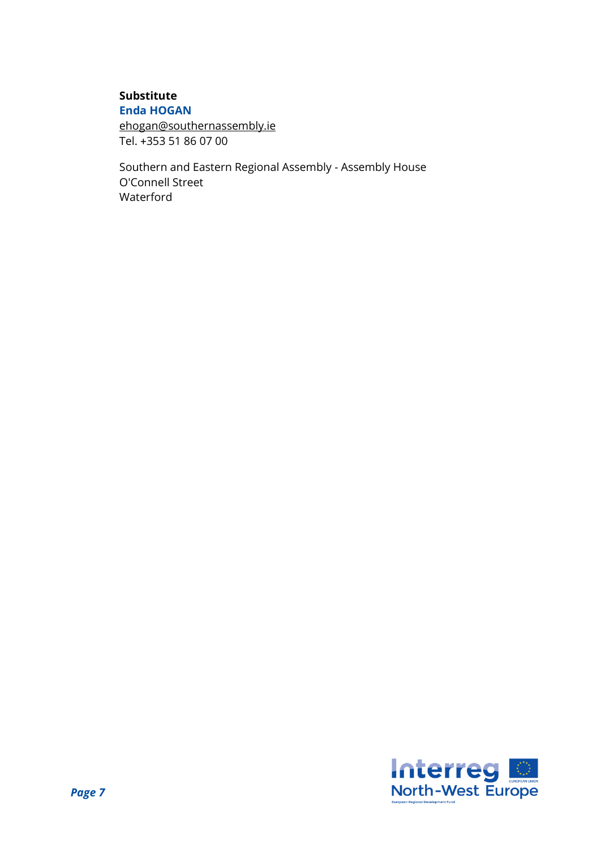#### **Substitute Enda HOGAN**

[ehogan@southernassembly.ie](mailto:ehogan@southernassembly.ie) Tel. +353 51 86 07 00

Southern and Eastern Regional Assembly - Assembly House O'Connell Street Waterford

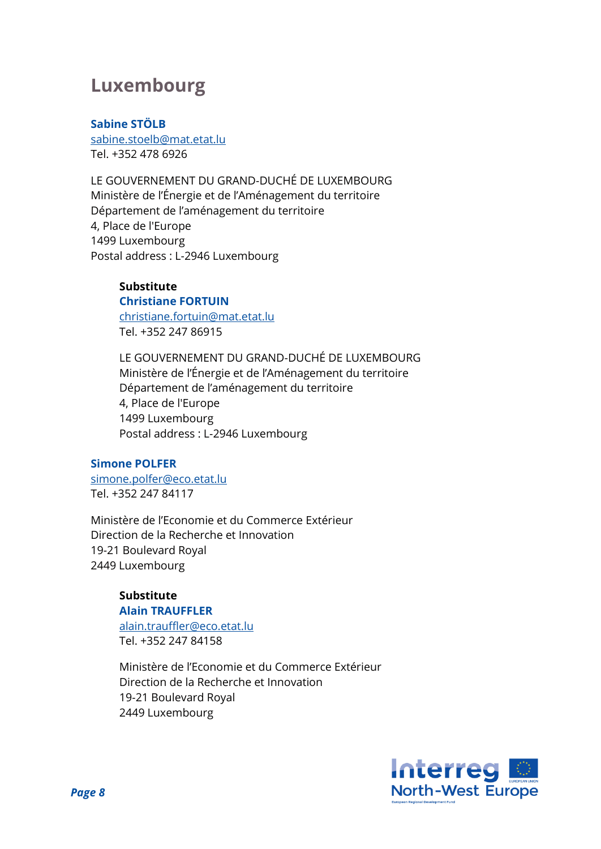### **Luxembourg**

#### **Sabine STÖLB**

[sabine.stoelb@mat.etat.lu](mailto:sabine.stoelb@mat.etat.lu) Tel. +352 478 6926

LE GOUVERNEMENT DU GRAND-DUCHÉ DE LUXEMBOURG Ministère de l'Énergie et de l'Aménagement du territoire Département de l'aménagement du territoire 4, Place de l'Europe 1499 Luxembourg Postal address : L-2946 Luxembourg

#### **Substitute**

**Christiane FORTUIN** [christiane.fortuin@mat.etat.lu](mailto:christiane.fortuin@mat.etat.lu) Tel. +352 247 86915

LE GOUVERNEMENT DU GRAND-DUCHÉ DE LUXEMBOURG Ministère de l'Énergie et de l'Aménagement du territoire Département de l'aménagement du territoire 4, Place de l'Europe 1499 Luxembourg Postal address : L-2946 Luxembourg

#### **Simone POLFER**

[simone.polfer@eco.etat.lu](mailto:imone.polfer@eco.etat.lu) Tel. +352 247 84117

Ministère de l'Economie et du Commerce Extérieur Direction de la Recherche et Innovation 19-21 Boulevard Royal 2449 Luxembourg

#### **Substitute Alain TRAUFFLER**

[alain.trauffler@eco.etat.lu](mailto:alain.trauffler@eco.etat.lu) Tel. +352 247 84158

Ministère de l'Economie et du Commerce Extérieur Direction de la Recherche et Innovation 19-21 Boulevard Royal 2449 Luxembourg

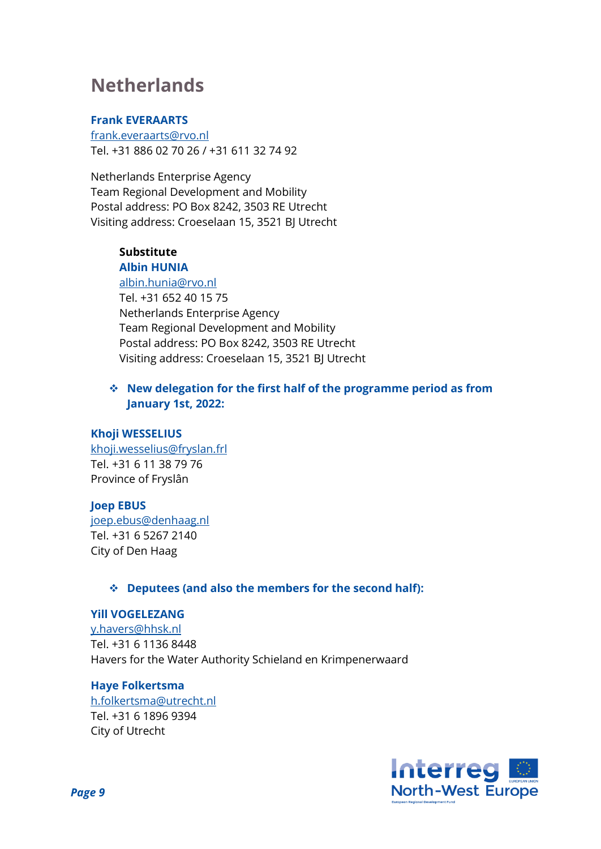# **Netherlands**

#### **Frank EVERAARTS**

[frank.everaarts@rvo.nl](mailto:frank.everaarts@rvo.nl) Tel. +31 886 02 70 26 / +31 611 32 74 92

Netherlands Enterprise Agency Team Regional Development and Mobility Postal address: PO Box 8242, 3503 RE Utrecht Visiting address: Croeselaan 15, 3521 BJ Utrecht

#### **Substitute Albin HUNIA**

#### [albin.hunia@rvo.nl](mailto:albin.hunia@rvo.nl)

Tel. +31 652 40 15 75 Netherlands Enterprise Agency Team Regional Development and Mobility Postal address: PO Box 8242, 3503 RE Utrecht Visiting address: Croeselaan 15, 3521 BJ Utrecht

#### ❖ **New delegation for the first half of the programme period as from January 1st, 2022:**

#### **Khoji WESSELIUS**

[khoji.wesselius@fryslan.frl](mailto:khoji.wesselius@fryslan.frl) Tel. +31 6 11 38 79 76 Province of Fryslân

#### **Joep EBUS**

[joep.ebus@denhaag.nl](mailto:joep.ebus@denhaag.nl) Tel. +31 6 5267 2140 City of Den Haag

#### ❖ **Deputees (and also the members for the second half):**

#### **Yill VOGELEZANG**

[y.havers@hhsk.nl](mailto:y.havers@hhsk.nl) Tel. +31 6 1136 8448 Havers for the Water Authority Schieland en Krimpenerwaard

#### **Haye Folkertsma**

[h.folkertsma@utrecht.nl](mailto:h.folkertsma@utrecht.nl) Tel. +31 6 1896 9394 City of Utrecht

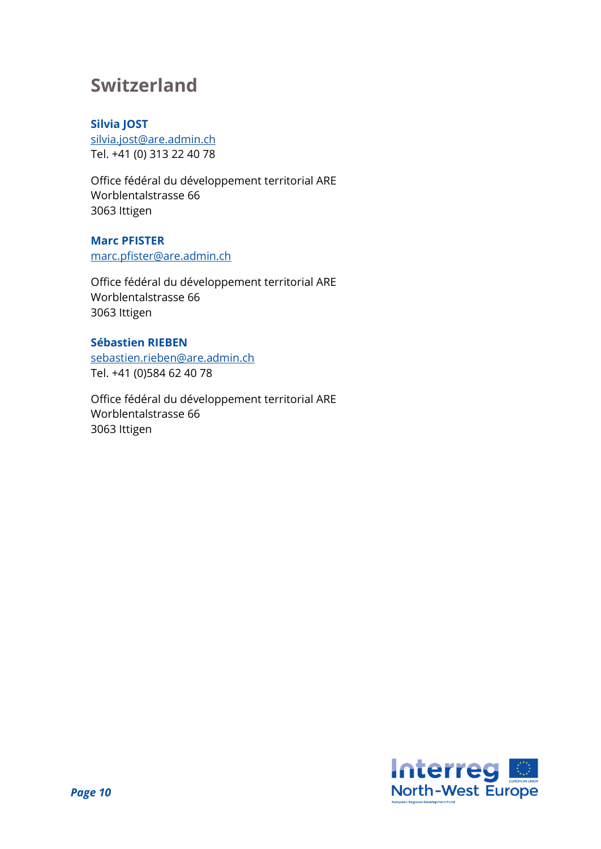### **Switzerland**

#### **Silvia JOST**

[silvia.jost@are.admin.ch](mailto:silvia.jost@are.admin.ch) Tel. +41 (0) 313 22 40 78

Office fédéral du développement territorial ARE Worblentalstrasse 66 3063 Ittigen

#### **Marc PFISTER**

[marc.pfister@are.admin.ch](mailto:marc.pfister@are.admin.ch)

Office fédéral du développement territorial ARE Worblentalstrasse 66 3063 Ittigen

#### **Sébastien RIEBEN**

[sebastien.rieben@are.admin.ch](mailto:sebastien.rieben@are.admin.ch) Tel. +41 (0)584 62 40 78

Office fédéral du développement territorial ARE Worblentalstrasse 66 3063 Ittigen

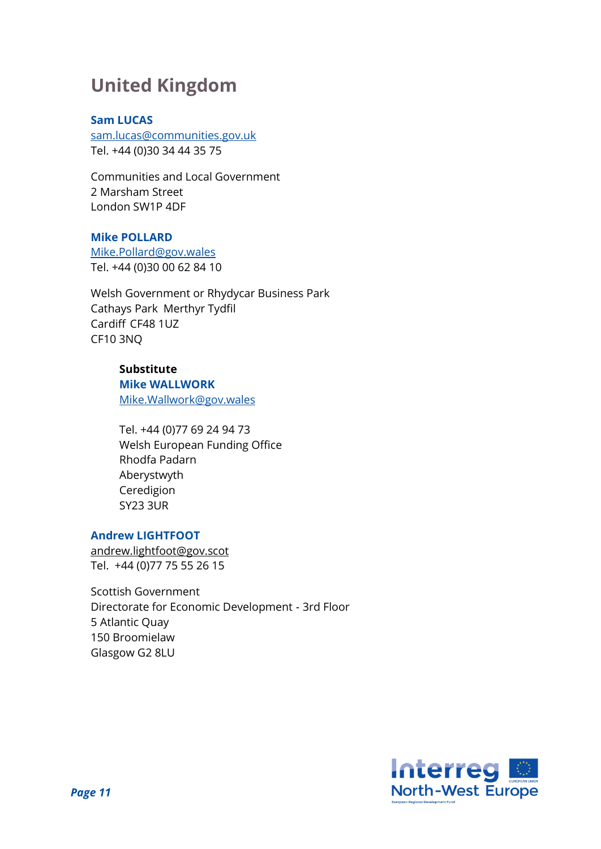# **United Kingdom**

#### **Sam LUCAS**

[sam.lucas@communities.gov.uk](mailto:sam.lucas@communities.gov.uk) Tel. +44 (0)30 34 44 35 75

Communities and Local Government 2 Marsham Street London SW1P 4DF

#### **Mike POLLARD**

[Mike.Pollard@gov.wales](mailto:mike.pollard@wales.gov.uk) Tel. +44 (0)30 00 62 84 10

Welsh Government or Rhydycar Business Park Cathays Park Merthyr Tydfil Cardiff CF48 1UZ CF10 3NQ

### **Substitute**

**Mike WALLWORK** [Mike.Wallwork@gov.wales](mailto:Mike.Wallwork@gov.wales)

Tel. +44 (0)77 69 24 94 73 Welsh European Funding Office Rhodfa Padarn Aberystwyth Ceredigion SY23 3UR

#### **Andrew LIGHTFOOT**

[andrew.lightfoot@gov.scot](mailto:andrew.lightfoot@gov.scot) Tel. +44 (0)77 75 55 26 15

Scottish Government Directorate for Economic Development - 3rd Floor 5 Atlantic Quay 150 Broomielaw Glasgow G2 8LU

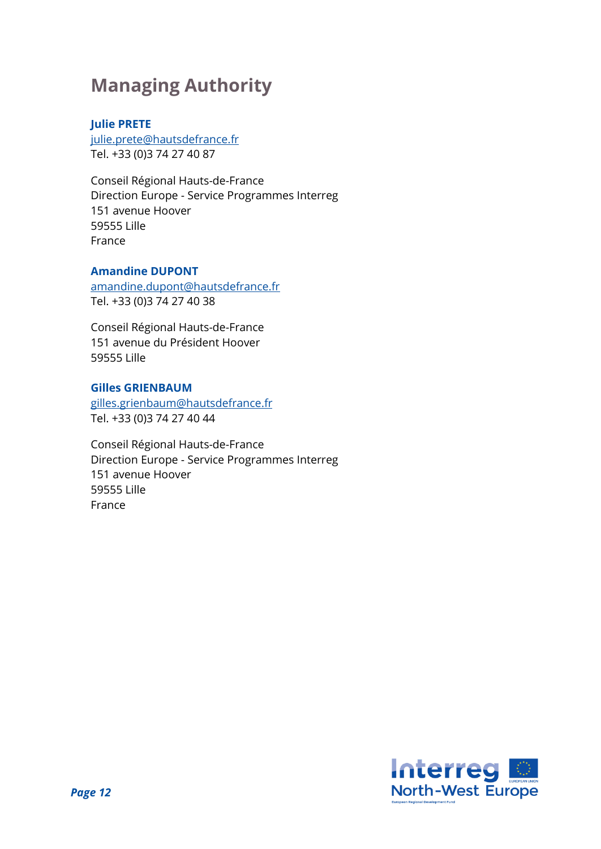# **Managing Authority**

#### **Julie PRETE**

[julie.prete@hautsdefrance.fr](mailto:julie.prete@hautsdefrance.fr) Tel. +33 (0)3 74 27 40 87

Conseil Régional Hauts-de-France Direction Europe - Service Programmes Interreg 151 avenue Hoover 59555 Lille France

#### **Amandine DUPONT**

[amandine.dupont@hautsdefrance.fr](mailto:amandine.dupont@hautsdefrance.fr) Tel. +33 (0)3 74 27 40 38

Conseil Régional Hauts-de-France 151 avenue du Président Hoover 59555 Lille

#### **Gilles GRIENBAUM**

gilles.grienbau[m@hautsdefrance.fr](mailto:fabrice.falvo@nordpasdecalais.fr) Tel. +33 (0)3 74 27 40 44

Conseil Régional Hauts-de-France Direction Europe - Service Programmes Interreg 151 avenue Hoover 59555 Lille France

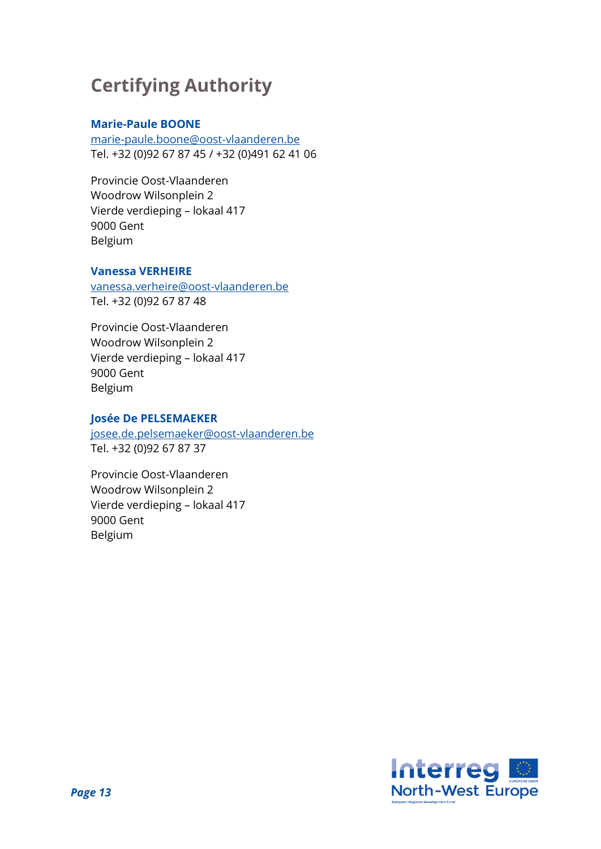# **Certifying Authority**

#### **Marie-Paule BOONE**

marie-paule.boone@oost-vlaanderen.be Tel. +32 (0)92 67 87 45 / +32 (0)491 62 41 06

Provincie Oost-Vlaanderen Woodrow Wilsonplein 2 Vierde verdieping – lokaal 417 9000 Gent Belgium

#### **Vanessa VERHEIRE**

vanessa.verheire@oost-vlaanderen.be Tel. +32 (0)92 67 87 48

Provincie Oost-Vlaanderen Woodrow Wilsonplein 2 Vierde verdieping – lokaal 417 9000 Gent Belgium

#### **Josée De PELSEMAEKER**

josee.de.pelsemaeker@oost-vlaanderen.be Tel. +32 (0)92 67 87 37

Provincie Oost-Vlaanderen Woodrow Wilsonplein 2 Vierde verdieping – lokaal 417 9000 Gent Belgium